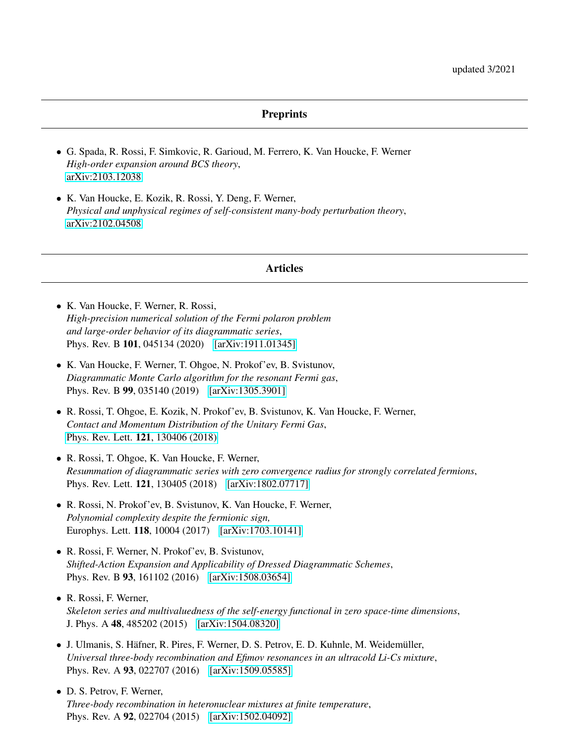## **Preprints**

- G. Spada, R. Rossi, F. Simkovic, R. Garioud, M. Ferrero, K. Van Houcke, F. Werner *High-order expansion around BCS theory*, [arXiv:2103.12038](https://arxiv.org/abs/2103.12038)
- K. Van Houcke, E. Kozik, R. Rossi, Y. Deng, F. Werner, *Physical and unphysical regimes of self-consistent many-body perturbation theory*, [arXiv:2102.04508](https://arxiv.org/abs/2102.04508)

## Articles

- K. Van Houcke, F. Werner, R. Rossi, *High-precision numerical solution of the Fermi polaron problem and large-order behavior of its diagrammatic series*, Phys. Rev. B 101, 045134 (2020) [\[arXiv:1911.01345\]](https://arxiv.org/abs/1911.01345)
- K. Van Houcke, F. Werner, T. Ohgoe, N. Prokof'ev, B. Svistunov, *Diagrammatic Monte Carlo algorithm for the resonant Fermi gas*, Phys. Rev. B 99, 035140 (2019) [\[arXiv:1305.3901\]](https://arxiv.org/abs/1305.3901)
- R. Rossi, T. Ohgoe, E. Kozik, N. Prokof'ev, B. Svistunov, K. Van Houcke, F. Werner, *Contact and Momentum Distribution of the Unitary Fermi Gas*, [Phys. Rev. Lett.](https://arxiv.org/ct?url=https%3A%2F%2Fdx.doi.org%2F10.1103%2FPhysRevLett.121.130406&v=020e562b) 121, 130406 (2018)
- R. Rossi, T. Ohgoe, K. Van Houcke, F. Werner, *Resummation of diagrammatic series with zero convergence radius for strongly correlated fermions*, Phys. Rev. Lett. **121**, 130405 (2018) [\[arXiv:1802.07717\]](https://arxiv.org/abs/1802.07717)
- R. Rossi, N. Prokof'ev, B. Svistunov, K. Van Houcke, F. Werner, *Polynomial complexity despite the fermionic sign,* Europhys. Lett. 118, 10004 (2017) [\[arXiv:1703.10141\]](https://arxiv.org/abs/1703.10141)
- R. Rossi, F. Werner, N. Prokof'ev, B. Svistunov, *Shifted-Action Expansion and Applicability of Dressed Diagrammatic Schemes*, Phys. Rev. B 93, 161102 (2016) [\[arXiv:1508.03654\]](https://arxiv.org/abs/1508.03654)
- R. Rossi, F. Werner, *Skeleton series and multivaluedness of the self-energy functional in zero space-time dimensions*, J. Phys. A 48, 485202 (2015) [\[arXiv:1504.08320\]](https://arxiv.org/abs/1504.08320)
- J. Ulmanis, S. Häfner, R. Pires, F. Werner, D. S. Petrov, E. D. Kuhnle, M. Weidemüller, *Universal three-body recombination and Efimov resonances in an ultracold Li-Cs mixture*, Phys. Rev. A 93, 022707 (2016) [\[arXiv:1509.05585\]](https://arxiv.org/abs/1509.05585)
- D. S. Petrov, F. Werner, *Three-body recombination in heteronuclear mixtures at finite temperature*, Phys. Rev. A 92, 022704 (2015) [\[arXiv:1502.04092\]](https://arxiv.org/abs/1502.04092)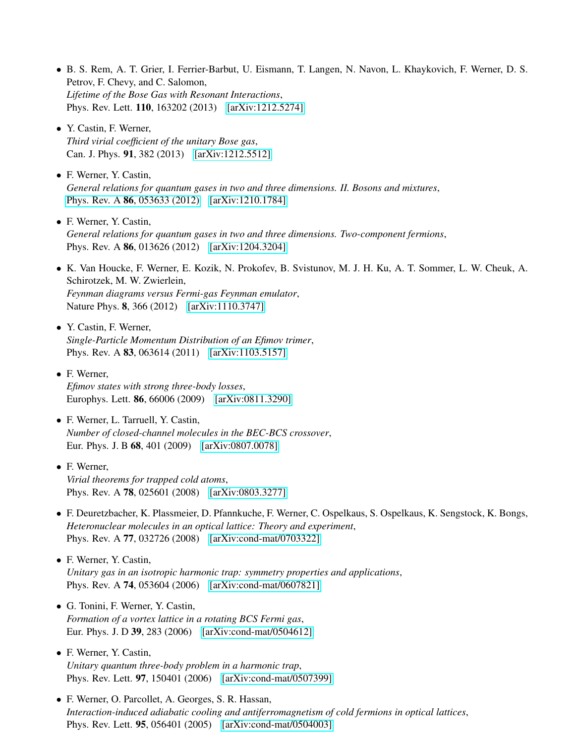- B. S. Rem, A. T. Grier, I. Ferrier-Barbut, U. Eismann, T. Langen, N. Navon, L. Khaykovich, F. Werner, D. S. Petrov, F. Chevy, and C. Salomon, *Lifetime of the Bose Gas with Resonant Interactions*, Phys. Rev. Lett. 110, 163202 (2013) [\[arXiv:1212.5274\]](https://arxiv.org/abs/1212.5274)
- Y. Castin, F. Werner, *Third virial coefficient of the unitary Bose gas*, Can. J. Phys. 91, 382 (2013) [\[arXiv:1212.5512\]](https://arxiv.org/abs/1212.5512)
- F. Werner, Y. Castin, *General relations for quantum gases in two and three dimensions. II. Bosons and mixtures*, Phys. Rev. A **86**[, 053633 \(2012\)](http://link.aps.org/doi/10.1103/PhysRevA.86.013626) [\[arXiv:1210.1784\]](https://arxiv.org/abs/1210.1784)
- F. Werner, Y. Castin, *General relations for quantum gases in two and three dimensions. Two-component fermions*, Phys. Rev. A 86, 013626 (2012) [\[arXiv:1204.3204\]](http://arxiv.org/abs/1204.3204)
- K. Van Houcke, F. Werner, E. Kozik, N. Prokofev, B. Svistunov, M. J. H. Ku, A. T. Sommer, L. W. Cheuk, A. Schirotzek, M. W. Zwierlein, *Feynman diagrams versus Fermi-gas Feynman emulator*, Nature Phys. **8**, 366 (2012) [\[arXiv:1110.3747\]](https://arxiv.org/abs/1110.3747)
- Y. Castin, F. Werner, *Single-Particle Momentum Distribution of an Efimov trimer*, Phys. Rev. A **83**, 063614 (2011) [\[arXiv:1103.5157\]](https://arxiv.org/abs/1103.5157)
- F. Werner, *Efimov states with strong three-body losses*, Europhys. Lett. 86, 66006 (2009) [\[arXiv:0811.3290\]](https://arxiv.org/abs/0811.3290)
- F. Werner, L. Tarruell, Y. Castin, *Number of closed-channel molecules in the BEC-BCS crossover*, Eur. Phys. J. B 68, 401 (2009) [\[arXiv:0807.0078\]](https://arxiv.org/abs/0807.0078)
- F. Werner, *Virial theorems for trapped cold atoms*, Phys. Rev. A **78**, 025601 (2008) [\[arXiv:0803.3277\]](https://arxiv.org/abs/0803.3277)
- F. Deuretzbacher, K. Plassmeier, D. Pfannkuche, F. Werner, C. Ospelkaus, S. Ospelkaus, K. Sengstock, K. Bongs, *Heteronuclear molecules in an optical lattice: Theory and experiment*, Phys. Rev. A 77, 032726 (2008) [\[arXiv:cond-mat/0703322\]](https://arxiv.org/abs/cond-mat/0703322)
- F. Werner, Y. Castin, *Unitary gas in an isotropic harmonic trap: symmetry properties and applications*, Phys. Rev. A **74**, 053604 (2006) [\[arXiv:cond-mat/0607821\]](https://arxiv.org/abs/cond-mat/0607821)
- G. Tonini, F. Werner, Y. Castin, *Formation of a vortex lattice in a rotating BCS Fermi gas*, Eur. Phys. J. D 39, 283 (2006) [\[arXiv:cond-mat/0504612\]](https://arxiv.org/abs/cond-mat/0504612)
- F. Werner, Y. Castin, *Unitary quantum three-body problem in a harmonic trap*, Phys. Rev. Lett. 97, 150401 (2006) [\[arXiv:cond-mat/0507399\]](https://arxiv.org/abs/cond-mat/0507399)
- F. Werner, O. Parcollet, A. Georges, S. R. Hassan, *Interaction-induced adiabatic cooling and antiferromagnetism of cold fermions in optical lattices*, Phys. Rev. Lett. 95, 056401 (2005) [\[arXiv:cond-mat/0504003\]](https://arxiv.org/abs/cond-mat/0504003)